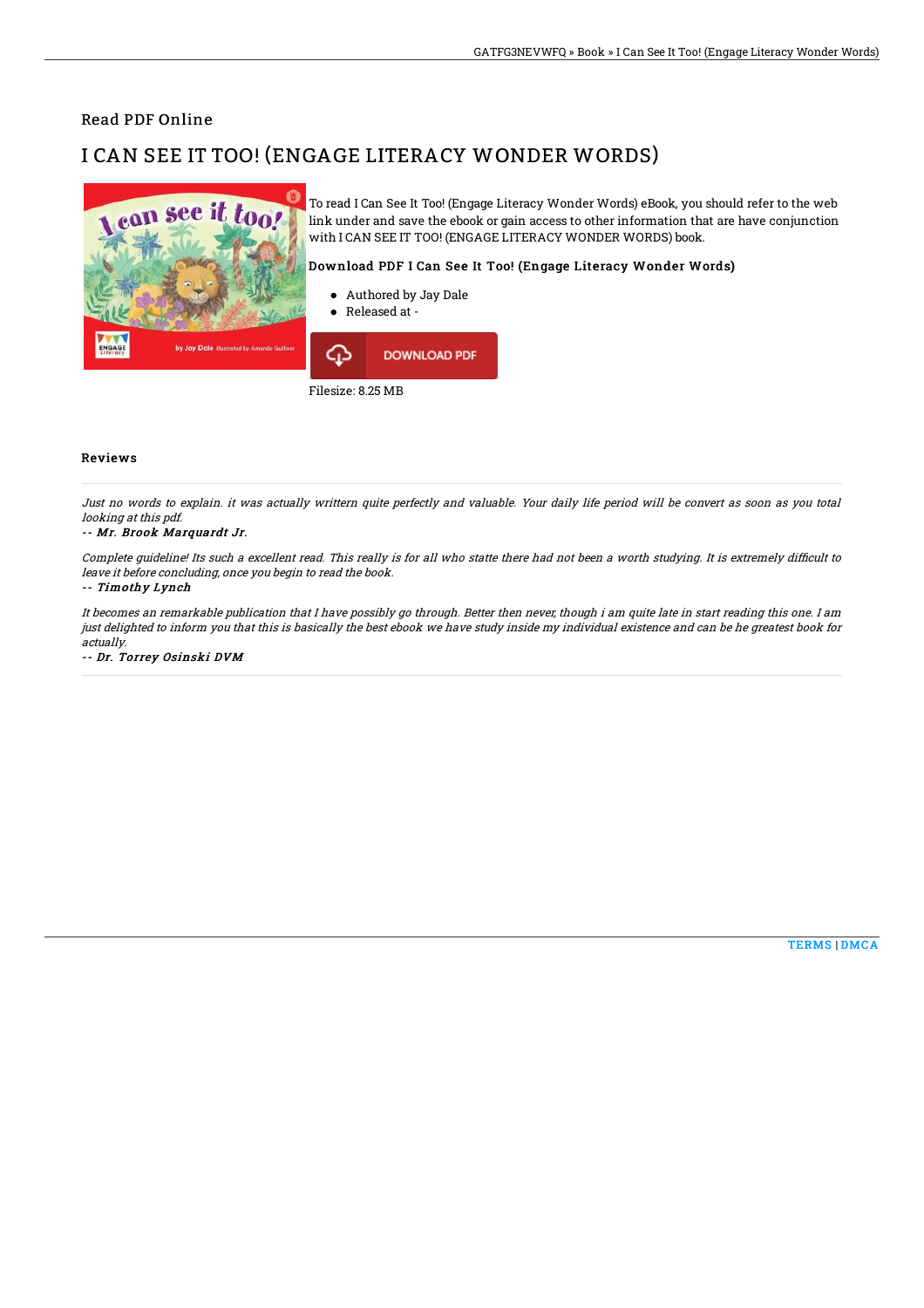### Read PDF Online

# I CAN SEE IT TOO! (ENGAGE LITERACY WONDER WORDS)



Filesize: 8.25 MB

#### Reviews

Just no words to explain. it was actually writtern quite perfectly and valuable. Your daily life period will be convert as soon as you total looking at this pdf.

#### -- Mr. Brook Marquardt Jr.

Complete quideline! Its such a excellent read. This really is for all who statte there had not been a worth studying. It is extremely difficult to leave it before concluding, once you begin to read the book.

#### -- Timothy Lynch

It becomes an remarkable publication that I have possibly go through. Better then never, though i am quite late in start reading this one. I am just delighted to inform you that this is basically the best ebook we have study inside my individual existence and can be he greatest book for actually.

-- Dr. Torrey Osinski DVM